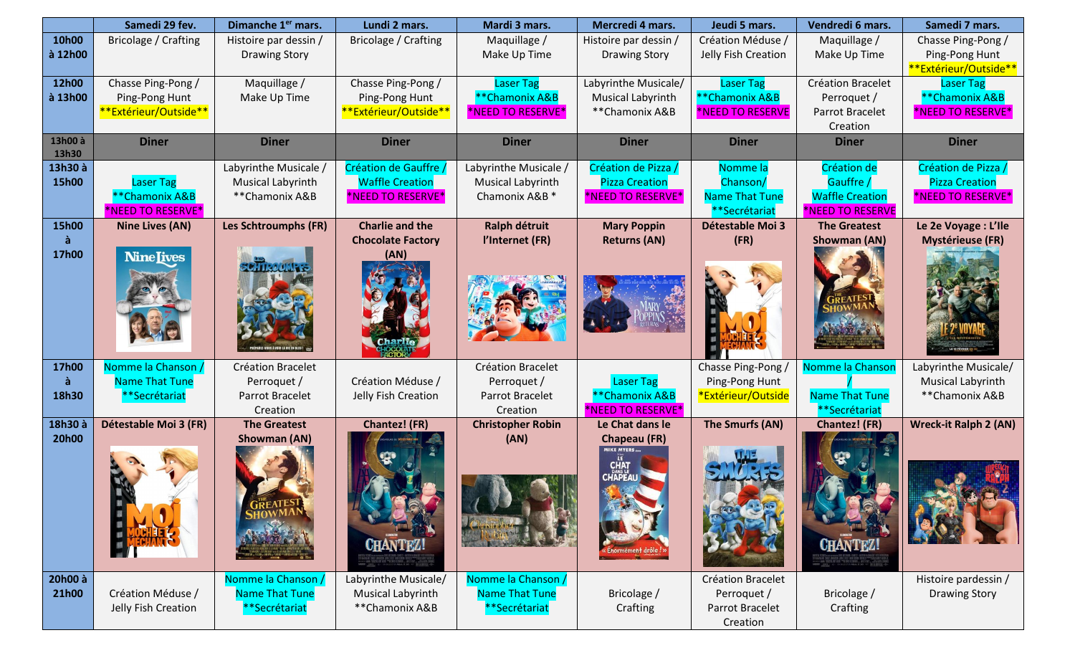|                  | Samedi 29 fev.          | Dimanche 1 <sup>er</sup> mars.             | Lundi 2 mars.            | Mardi 3 mars.             | Mercredi 4 mars.                             | Jeudi 5 mars.           | Vendredi 6 mars.         | Samedi 7 mars.                               |
|------------------|-------------------------|--------------------------------------------|--------------------------|---------------------------|----------------------------------------------|-------------------------|--------------------------|----------------------------------------------|
| 10h00            | Bricolage / Crafting    | Histoire par dessin /                      | Bricolage / Crafting     | Maquillage /              | Histoire par dessin /                        | Création Méduse /       | Maquillage /             | Chasse Ping-Pong /                           |
| à 12h00          |                         | <b>Drawing Story</b>                       |                          | Make Up Time              | <b>Drawing Story</b>                         | Jelly Fish Creation     | Make Up Time             | Ping-Pong Hunt                               |
|                  |                         |                                            |                          |                           |                                              |                         |                          | **Extérieur/Outside**                        |
| 12h00            | Chasse Ping-Pong /      | Maquillage /                               | Chasse Ping-Pong /       | <b>Laser Tag</b>          | Labyrinthe Musicale/                         | <b>Laser Tag</b>        | <b>Création Bracelet</b> | Laser Tag                                    |
| à 13h00          | Ping-Pong Hunt          | Make Up Time                               | Ping-Pong Hunt           | **Chamonix A&B            | <b>Musical Labyrinth</b>                     | **Chamonix A&B          | Perroquet /              | **Chamonix A&B                               |
|                  | **Extérieur/Outside**   |                                            | **Extérieur/Outside**    | *NEED TO RESERVE*         | **Chamonix A&B                               | *NEED TO RESERVE        | Parrot Bracelet          | *NEED TO RESERVE*                            |
|                  |                         |                                            |                          |                           |                                              |                         | Creation                 |                                              |
| 13h00 à          | <b>Diner</b>            | <b>Diner</b>                               | <b>Diner</b>             | <b>Diner</b>              | <b>Diner</b>                                 | <b>Diner</b>            | <b>Diner</b>             | <b>Diner</b>                                 |
| 13h30<br>13h30 à |                         |                                            | Création de Gauffre      | Labyrinthe Musicale /     |                                              | Nomme la                | Création de              |                                              |
| 15h00            | <b>Laser Tag</b>        | Labyrinthe Musicale /<br>Musical Labyrinth | <b>Waffle Creation</b>   | Musical Labyrinth         | Création de Pizza /<br><b>Pizza Creation</b> | Chanson/                | Gauffre /                | Création de Pizza /<br><b>Pizza Creation</b> |
|                  | **Chamonix A&B          | **Chamonix A&B                             | *NEED TO RESERVE*        | Chamonix A&B <sup>*</sup> | *NEED TO RESERVE*                            | <b>Name That Tune</b>   | <b>Waffle Creation</b>   | *NEED TO RESERVE*                            |
|                  | <b>NEED TO RESERVE*</b> |                                            |                          |                           |                                              | **Secrétariat           | *NEED TO RESERVE         |                                              |
| 15h00            | <b>Nine Lives (AN)</b>  | Les Schtroumphs (FR)                       | <b>Charlie and the</b>   | Ralph détruit             | <b>Mary Poppin</b>                           | <b>Détestable Moi 3</b> | <b>The Greatest</b>      | Le 2e Voyage : L'Ile                         |
|                  |                         |                                            | <b>Chocolate Factory</b> | l'Internet (FR)           | <b>Returns (AN)</b>                          | (FR)                    | Showman (AN)             | <b>Mystérieuse (FR)</b>                      |
| 17h00            | <b>Nine Iives</b>       |                                            | (AN)                     |                           |                                              |                         |                          |                                              |
|                  |                         |                                            |                          |                           |                                              |                         |                          |                                              |
|                  |                         |                                            |                          |                           |                                              |                         |                          |                                              |
|                  |                         |                                            |                          |                           |                                              |                         |                          |                                              |
|                  |                         |                                            |                          |                           |                                              |                         |                          |                                              |
|                  |                         |                                            |                          |                           |                                              |                         |                          |                                              |
|                  |                         |                                            |                          |                           |                                              |                         |                          |                                              |
|                  |                         |                                            |                          |                           |                                              |                         |                          |                                              |
| 17h00            | Nomme la Chanson        | <b>Création Bracelet</b>                   |                          | Création Bracelet         |                                              | Chasse Ping-Pong /      | Nomme la Chansor         | Labyrinthe Musicale/                         |
| à                | <b>Name That Tune</b>   | Perroquet /                                | Création Méduse /        | Perroquet /               | Laser Tag                                    | Ping-Pong Hunt          |                          | Musical Labyrinth                            |
| 18h30            | **Secrétariat           | Parrot Bracelet                            | Jelly Fish Creation      | Parrot Bracelet           | **Chamonix A&B                               | *Extérieur/Outside      | <b>Name That Tune</b>    | **Chamonix A&B                               |
|                  |                         | Creation                                   |                          | Creation                  | *NEED TO RESERVE*                            |                         | **Secrétariat            |                                              |
| 18h30 à          | Détestable Moi 3 (FR)   | <b>The Greatest</b>                        | Chantez! (FR)            | <b>Christopher Robin</b>  | Le Chat dans le                              | The Smurfs (AN)         | <b>Chantez!</b> (FR)     | <b>Wreck-it Ralph 2 (AN)</b>                 |
| <b>20h00</b>     |                         | <b>Showman (AN)</b>                        |                          | (AN)                      | <b>Chapeau (FR)</b><br><b>IKE MYERS</b>      |                         |                          |                                              |
|                  |                         |                                            |                          |                           |                                              |                         |                          |                                              |
|                  |                         |                                            |                          |                           |                                              |                         |                          |                                              |
|                  |                         |                                            |                          |                           |                                              |                         |                          |                                              |
|                  |                         |                                            |                          |                           |                                              |                         |                          |                                              |
|                  |                         |                                            |                          |                           |                                              |                         |                          |                                              |
|                  |                         |                                            |                          |                           |                                              |                         |                          |                                              |
|                  |                         |                                            | <b>CHANTEZ!</b>          |                           |                                              |                         | <b>CHANTEZ!</b>          |                                              |
|                  |                         |                                            |                          |                           |                                              |                         |                          |                                              |
| 20h00 à          |                         | Nomme la Chanson /                         | Labyrinthe Musicale/     | Nomme la Chanson /        |                                              | Création Bracelet       |                          | Histoire pardessin /                         |
| 21h00            | Création Méduse /       | Name That Tune                             | Musical Labyrinth        | <b>Name That Tune</b>     | Bricolage /                                  | Perroquet /             | Bricolage /              | <b>Drawing Story</b>                         |
|                  | Jelly Fish Creation     | **Secrétariat                              | **Chamonix A&B           | **Secrétariat             | Crafting                                     | Parrot Bracelet         | Crafting                 |                                              |
|                  |                         |                                            |                          |                           |                                              | Creation                |                          |                                              |